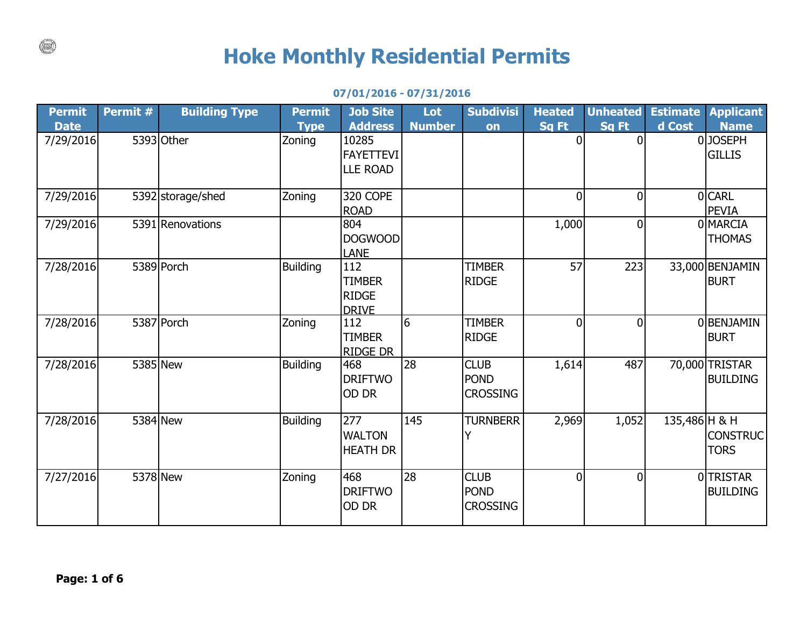## **Hoke Monthly Residential Permits**

## **07/01/2016 - 07/31/2016**

| Permit                   | Permit # | <b>Building Type</b> | <b>Permit</b>         | <b>Job Site</b>                                                | Lot           | <b>Subdivisi</b>                              | <b>Heated</b>            | <b>Unheated</b>         | <b>Estimate</b> | <b>Applicant</b>                        |
|--------------------------|----------|----------------------|-----------------------|----------------------------------------------------------------|---------------|-----------------------------------------------|--------------------------|-------------------------|-----------------|-----------------------------------------|
| <b>Date</b><br>7/29/2016 |          | 5393 Other           | <b>Type</b><br>Zoning | <b>Address</b><br>10285<br><b>FAYETTEVI</b><br><b>LLE ROAD</b> | <b>Number</b> | on                                            | <b>Sq Ft</b><br>$\Omega$ | Sq Ft<br>$\overline{0}$ | d Cost          | <b>Name</b><br>0JOSEPH<br><b>GILLIS</b> |
| 7/29/2016                |          | 5392 storage/shed    | Zoning                | 320 COPE<br><b>ROAD</b>                                        |               |                                               | $\overline{0}$           | $\overline{0}$          |                 | 0 CARL<br><b>PEVIA</b>                  |
| 7/29/2016                |          | 5391 Renovations     |                       | 804<br><b>DOGWOOD</b><br><b>LANE</b>                           |               |                                               | 1,000                    | $\overline{0}$          |                 | 0 MARCIA<br><b>THOMAS</b>               |
| 7/28/2016                |          | 5389 Porch           | <b>Building</b>       | 112<br><b>TIMBER</b><br><b>RIDGE</b><br><b>DRIVE</b>           |               | <b>TIMBER</b><br><b>RIDGE</b>                 | 57                       | 223                     |                 | 33,000 BENJAMIN<br><b>BURT</b>          |
| 7/28/2016                |          | 5387 Porch           | Zoning                | 112<br><b>TIMBER</b><br><b>RIDGE DR</b>                        | 6             | <b>TIMBER</b><br><b>RIDGE</b>                 | $\overline{0}$           | 0l                      |                 | 0 BENJAMIN<br><b>BURT</b>               |
| 7/28/2016                |          | 5385 New             | <b>Building</b>       | 468<br><b>DRIFTWO</b><br>OD DR                                 | 28            | <b>CLUB</b><br><b>POND</b><br><b>CROSSING</b> | 1,614                    | 487                     |                 | 70,000 TRISTAR<br><b>BUILDING</b>       |
| 7/28/2016                | 5384 New |                      | <b>Building</b>       | 277<br><b>WALTON</b><br><b>HEATH DR</b>                        | 145           | <b>TURNBERR</b><br>٧                          | 2,969                    | 1,052                   | 135,486 H & H   | <b>CONSTRUC</b><br><b>TORS</b>          |
| 7/27/2016                |          | 5378 New             | Zoning                | 468<br><b>DRIFTWO</b><br>OD DR                                 | 28            | <b>CLUB</b><br><b>POND</b><br><b>CROSSING</b> | $\mathbf{0}$             | 0l                      |                 | 0TRISTAR<br><b>BUILDING</b>             |

 $\binom{1}{k}$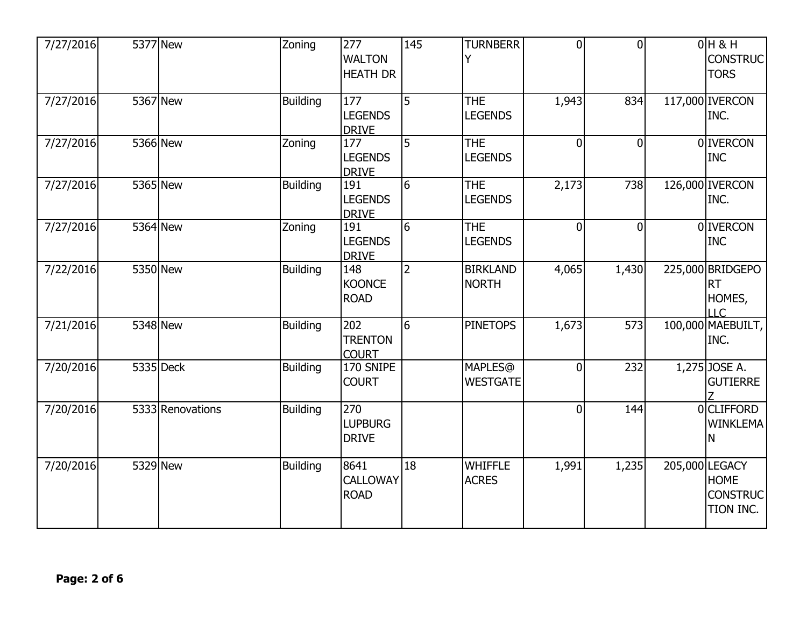| 7/27/2016 | 5377 New |                  | Zoning          | 277<br><b>WALTON</b><br><b>HEATH DR</b>            | 145            | <b>TURNBERR</b>                    | $\overline{0}$ | $\overline{0}$ | $0H$ & H<br><b>CONSTRUC</b><br><b>TORS</b>                    |
|-----------|----------|------------------|-----------------|----------------------------------------------------|----------------|------------------------------------|----------------|----------------|---------------------------------------------------------------|
| 7/27/2016 | 5367 New |                  | <b>Building</b> | 177<br><b>LEGENDS</b><br><b>DRIVE</b>              | 5              | <b>THE</b><br><b>LEGENDS</b>       | 1,943          | 834            | 117,000 <b>IVERCON</b><br>INC.                                |
| 7/27/2016 | 5366 New |                  | Zoning          | 177<br><b>LEGENDS</b><br><b>DRIVE</b>              | 5              | THE<br><b>LEGENDS</b>              | $\mathbf{0}$   | $\mathbf 0$    | 0 <b>IVERCON</b><br><b>INC</b>                                |
| 7/27/2016 | 5365 New |                  | <b>Building</b> | 191<br><b>LEGENDS</b><br><b>DRIVE</b>              | 6              | <b>THE</b><br><b>LEGENDS</b>       | 2,173          | 738            | 126,000 IVERCON<br>INC.                                       |
| 7/27/2016 | 5364 New |                  | Zoning          | 191<br><b>LEGENDS</b><br><b>DRIVE</b>              | 6              | <b>THE</b><br><b>LEGENDS</b>       | $\overline{0}$ | $\overline{0}$ | 0 <b>IVERCON</b><br><b>INC</b>                                |
| 7/22/2016 | 5350 New |                  | <b>Building</b> | 148<br><b>KOONCE</b><br><b>ROAD</b>                | $\overline{2}$ | <b>BIRKLAND</b><br><b>NORTH</b>    | 4,065          | 1,430          | 225,000 BRIDGEPO<br><b>RT</b><br>HOMES,<br>LLC                |
| 7/21/2016 | 5348 New |                  | <b>Building</b> | $\overline{202}$<br><b>TRENTON</b><br><b>COURT</b> | 6              | <b>PINETOPS</b>                    | 1,673          | 573            | 100,000 MAEBUILT,<br>INC.                                     |
| 7/20/2016 |          | 5335 Deck        | <b>Building</b> | 170 SNIPE<br><b>COURT</b>                          |                | <b>MAPLES</b> @<br><b>WESTGATE</b> | $\mathbf{0}$   | 232            | $1,275$ JOSE A.<br><b>GUTIERRE</b>                            |
| 7/20/2016 |          | 5333 Renovations | <b>Building</b> | 270<br><b>LUPBURG</b><br><b>DRIVE</b>              |                |                                    | $\overline{0}$ | 144            | 0 CLIFFORD<br><b>WINKLEMA</b><br>N                            |
| 7/20/2016 | 5329 New |                  | <b>Building</b> | 8641<br><b>CALLOWAY</b><br><b>ROAD</b>             | 18             | <b>WHIFFLE</b><br><b>ACRES</b>     | 1,991          | 1,235          | 205,000 LEGACY<br><b>HOME</b><br><b>CONSTRUC</b><br>TION INC. |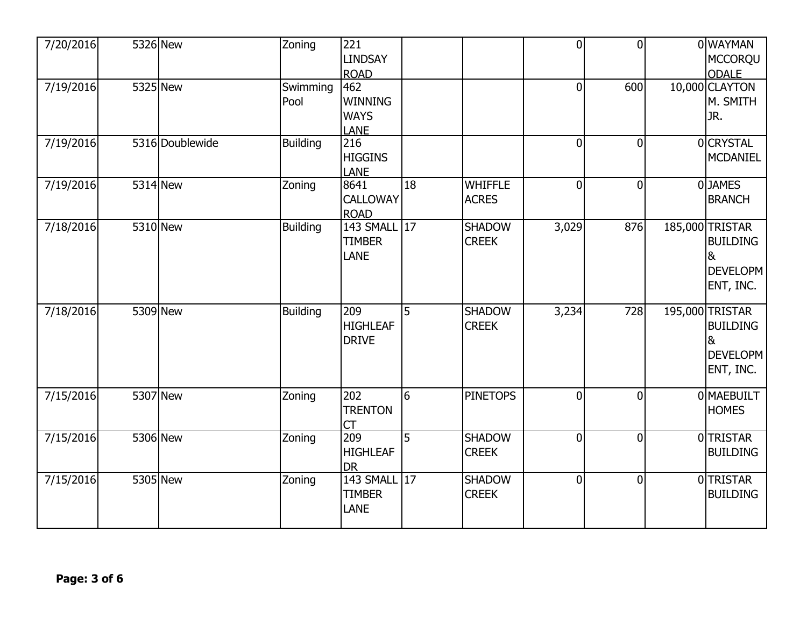| 7/20/2016 | 5326 New        | Zoning           | 221<br><b>LINDSAY</b><br><b>ROAD</b>                |                |                                | $\overline{0}$ | $\overline{0}$ | 0 WAYMAN<br><b>MCCORQU</b><br><b>ODALE</b>                                    |
|-----------|-----------------|------------------|-----------------------------------------------------|----------------|--------------------------------|----------------|----------------|-------------------------------------------------------------------------------|
| 7/19/2016 | 5325 New        | Swimming<br>Pool | 462<br><b>WINNING</b><br><b>WAYS</b><br><b>LANE</b> |                |                                | $\overline{0}$ | 600            | 10,000 CLAYTON<br>M. SMITH<br>JR.                                             |
| 7/19/2016 | 5316 Doublewide | <b>Building</b>  | 216<br><b>HIGGINS</b><br>LANE                       |                |                                | 0              | $\overline{0}$ | 0 CRYSTAL<br><b>MCDANIEL</b>                                                  |
| 7/19/2016 | 5314 New        | Zoning           | 8641<br><b>CALLOWAY</b><br><b>ROAD</b>              | 18             | <b>WHIFFLE</b><br><b>ACRES</b> | 0              | $\overline{0}$ | 0 JAMES<br><b>BRANCH</b>                                                      |
| 7/18/2016 | 5310 New        | <b>Building</b>  | 143 SMALL 17<br><b>TIMBER</b><br>LANE               |                | <b>SHADOW</b><br><b>CREEK</b>  | 3,029          | 876            | 185,000 TRISTAR<br><b>BUILDING</b><br>8 <sub>k</sub><br>DEVELOPM<br>ENT, INC. |
| 7/18/2016 | 5309 New        | <b>Building</b>  | 209<br><b>HIGHLEAF</b><br><b>DRIVE</b>              | 5              | <b>SHADOW</b><br><b>CREEK</b>  | 3,234          | 728            | 195,000 TRISTAR<br><b>BUILDING</b><br>8<br>DEVELOPM<br>ENT, INC.              |
| 7/15/2016 | 5307 New        | Zoning           | 202<br><b>TRENTON</b><br><b>CT</b>                  | 6              | <b>PINETOPS</b>                | 0              | $\overline{0}$ | 0 MAEBUILT<br><b>HOMES</b>                                                    |
| 7/15/2016 | 5306 New        | Zoning           | 209<br><b>HIGHLEAF</b><br><b>DR</b>                 | $\overline{5}$ | <b>SHADOW</b><br><b>CREEK</b>  | $\overline{0}$ | $\overline{0}$ | 0 TRISTAR<br><b>BUILDING</b>                                                  |
| 7/15/2016 | 5305 New        | Zoning           | 143 SMALL<br><b>TIMBER</b><br><b>LANE</b>           | 17             | <b>SHADOW</b><br><b>CREEK</b>  | $\overline{0}$ | $\overline{0}$ | 0 TRISTAR<br><b>BUILDING</b>                                                  |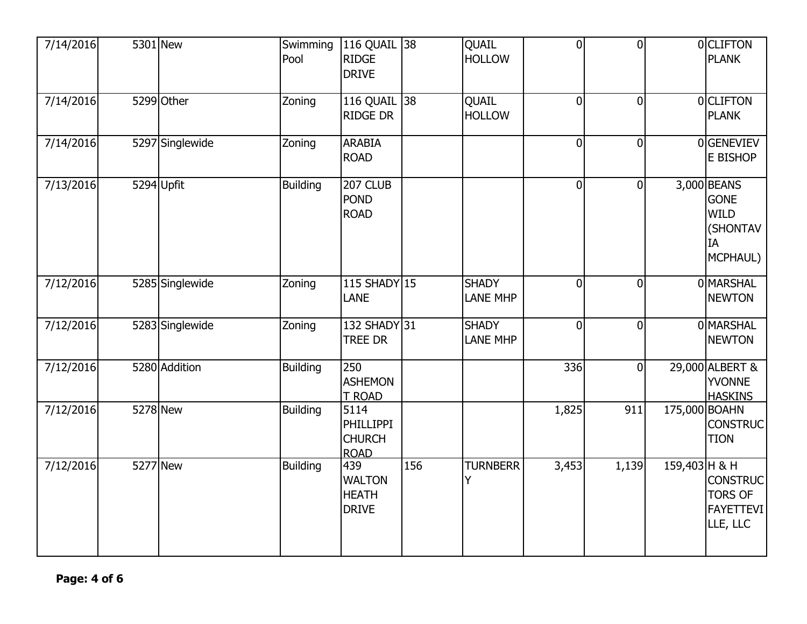| 7/14/2016 |          | 5301 New        | Swimming<br>Pool | 116 QUAIL 38<br><b>RIDGE</b><br><b>DRIVE</b>             |     | QUAIL<br><b>HOLLOW</b>          | $\overline{0}$ | $\overline{0}$ |               | 0 CLIFTON<br><b>PLANK</b>                                               |
|-----------|----------|-----------------|------------------|----------------------------------------------------------|-----|---------------------------------|----------------|----------------|---------------|-------------------------------------------------------------------------|
| 7/14/2016 |          | 5299 Other      | Zoning           | 116 QUAIL 38<br><b>RIDGE DR</b>                          |     | QUAIL<br><b>HOLLOW</b>          | $\overline{0}$ | $\overline{0}$ |               | 0 CLIFTON<br><b>PLANK</b>                                               |
| 7/14/2016 |          | 5297 Singlewide | Zoning           | <b>ARABIA</b><br><b>ROAD</b>                             |     |                                 | $\Omega$       | 0              |               | 0 GENEVIEV<br>E BISHOP                                                  |
| 7/13/2016 |          | 5294 Upfit      | <b>Building</b>  | 207 CLUB<br><b>POND</b><br><b>ROAD</b>                   |     |                                 | $\overline{0}$ | $\overline{0}$ |               | 3,000 BEANS<br><b>GONE</b><br><b>WILD</b><br>(SHONTAV<br>IA<br>MCPHAUL) |
| 7/12/2016 |          | 5285 Singlewide | Zoning           | 115 SHADY 15<br><b>LANE</b>                              |     | <b>SHADY</b><br><b>LANE MHP</b> | $\overline{0}$ | $\overline{0}$ |               | 0 MARSHAL<br><b>NEWTON</b>                                              |
| 7/12/2016 |          | 5283 Singlewide | Zoning           | 132 SHADY 31<br><b>TREE DR</b>                           |     | <b>SHADY</b><br><b>LANE MHP</b> | $\mathbf 0$    | 0              |               | 0 MARSHAL<br><b>NEWTON</b>                                              |
| 7/12/2016 |          | 5280 Addition   | <b>Building</b>  | 250<br><b>ASHEMON</b><br>T ROAD                          |     |                                 | 336            | $\mathbf 0$    |               | 29,000 ALBERT &<br><b>YVONNE</b><br><b>HASKINS</b>                      |
| 7/12/2016 | 5278 New |                 | <b>Building</b>  | 5114<br><b>PHILLIPPI</b><br><b>CHURCH</b><br><b>ROAD</b> |     |                                 | 1,825          | 911            | 175,000 BOAHN | <b>CONSTRUC</b><br><b>TION</b>                                          |
| 7/12/2016 | 5277 New |                 | <b>Building</b>  | 439<br><b>WALTON</b><br><b>HEATH</b><br><b>DRIVE</b>     | 156 | <b>TURNBERR</b><br>Ý            | 3,453          | 1,139          | 159,403 H & H | <b>CONSTRUC</b><br><b>TORS OF</b><br><b>FAYETTEVI</b><br>LLE, LLC       |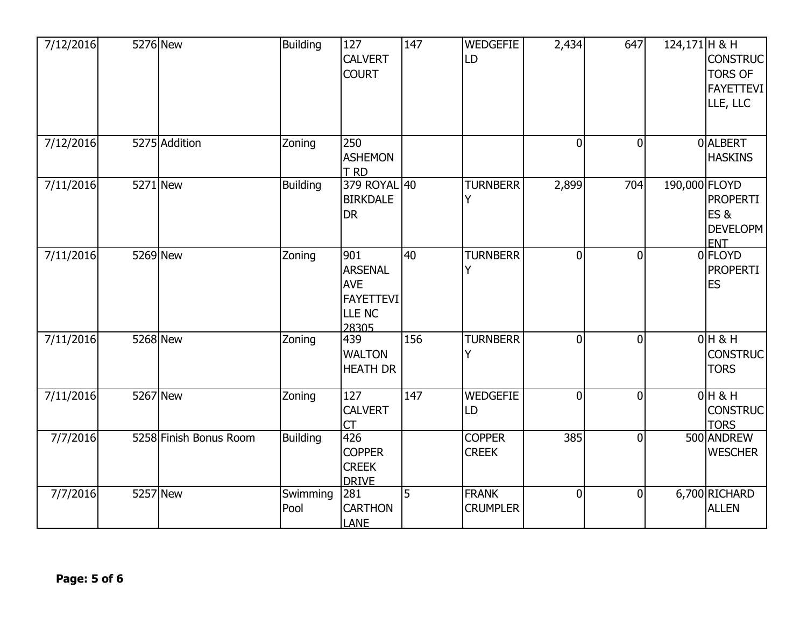| 7/12/2016 | 5276 New               | Building         | 127<br><b>CALVERT</b><br><b>COURT</b>                                   | 147            | <b>WEDGEFIE</b><br>LD           | 2,434          | 647            | $124,171$ H & H | <b>CONSTRUC</b><br><b>TORS OF</b><br><b>FAYETTEVI</b><br>LLE, LLC |
|-----------|------------------------|------------------|-------------------------------------------------------------------------|----------------|---------------------------------|----------------|----------------|-----------------|-------------------------------------------------------------------|
| 7/12/2016 | 5275 Addition          | Zoning           | 250<br><b>ASHEMON</b><br>T RD                                           |                |                                 | $\overline{0}$ | $\overline{0}$ |                 | 0 ALBERT<br><b>HASKINS</b>                                        |
| 7/11/2016 | 5271 New               | <b>Building</b>  | 379 ROYAL 40<br><b>BIRKDALE</b><br><b>DR</b>                            |                | <b>TURNBERR</b><br>Y            | 2,899          | 704            | 190,000 FLOYD   | <b>PROPERTI</b><br>ES&<br><b>DEVELOPM</b><br><b>ENT</b>           |
| 7/11/2016 | 5269 New               | Zoning           | 901<br>ARSENAL<br><b>AVE</b><br>FAYETTEVI<br>LLE <sub>NC</sub><br>28305 | 40             | <b>TURNBERR</b><br>Y            | $\overline{0}$ | $\Omega$       |                 | 0 FLOYD<br><b>PROPERTI</b><br><b>ES</b>                           |
| 7/11/2016 | $\overline{52}68$ New  | Zoning           | 439<br><b>WALTON</b><br><b>HEATH DR</b>                                 | 156            | <b>TURNBERR</b><br>Y            | $\overline{0}$ | $\overline{0}$ |                 | $0H$ & H<br><b>CONSTRUC</b><br><b>TORS</b>                        |
| 7/11/2016 | 5267 New               | Zoning           | 127<br><b>CALVERT</b><br><b>CT</b>                                      | 147            | WEDGEFIE<br>LD                  | $\overline{0}$ | $\overline{0}$ |                 | $0H$ & H<br><b>CONSTRUC</b><br><b>TORS</b>                        |
| 7/7/2016  | 5258 Finish Bonus Room | <b>Building</b>  | 426<br><b>COPPER</b><br><b>CREEK</b><br><b>DRIVE</b>                    |                | <b>COPPER</b><br><b>CREEK</b>   | 385            | $\overline{0}$ |                 | 500 ANDREW<br><b>WESCHER</b>                                      |
| 7/7/2016  | 5257 New               | Swimming<br>Pool | 281<br><b>CARTHON</b><br><b>LANE</b>                                    | $\overline{5}$ | <b>FRANK</b><br><b>CRUMPLER</b> | $\overline{0}$ | $\overline{0}$ |                 | 6,700 RICHARD<br><b>ALLEN</b>                                     |